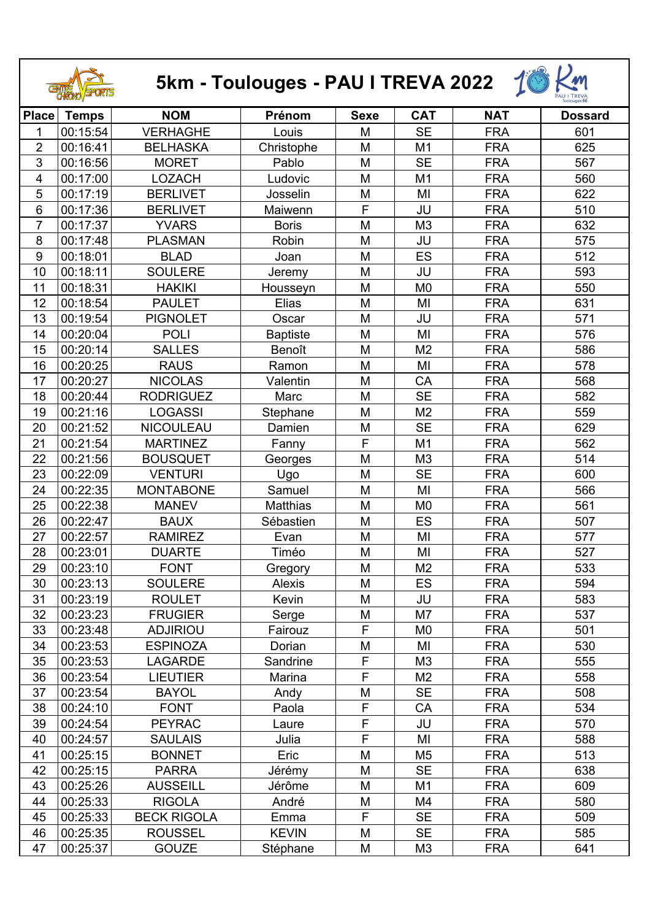| 5km - Toulouges - PAU I TREVA 2022 |              |                    |                 |             |                |            |                |
|------------------------------------|--------------|--------------------|-----------------|-------------|----------------|------------|----------------|
| <b>Place</b>                       | <b>Temps</b> | <b>NOM</b>         | Prénom          | <b>Sexe</b> | <b>CAT</b>     | <b>NAT</b> | <b>Dossard</b> |
| 1                                  | 00:15:54     | <b>VERHAGHE</b>    | Louis           | M           | <b>SE</b>      | <b>FRA</b> | 601            |
| $\overline{2}$                     | 00:16:41     | <b>BELHASKA</b>    | Christophe      | M           | M <sub>1</sub> | <b>FRA</b> | 625            |
| 3                                  | 00:16:56     | <b>MORET</b>       | Pablo           | M           | <b>SE</b>      | <b>FRA</b> | 567            |
| 4                                  | 00:17:00     | <b>LOZACH</b>      | Ludovic         | M           | M <sub>1</sub> | <b>FRA</b> | 560            |
| 5                                  | 00:17:19     | <b>BERLIVET</b>    | Josselin        | M           | MI             | <b>FRA</b> | 622            |
| $6\phantom{1}6$                    | 00:17:36     | <b>BERLIVET</b>    | Maiwenn         | F           | JU             | <b>FRA</b> | 510            |
| 7                                  | 00:17:37     | <b>YVARS</b>       | <b>Boris</b>    | M           | M <sub>3</sub> | <b>FRA</b> | 632            |
| 8                                  | 00:17:48     | <b>PLASMAN</b>     | Robin           | M           | JU             | <b>FRA</b> | 575            |
| 9                                  | 00:18:01     | <b>BLAD</b>        | Joan            | M           | ES             | <b>FRA</b> | 512            |
| 10                                 | 00:18:11     | <b>SOULERE</b>     | Jeremy          | M           | JU             | <b>FRA</b> | 593            |
| 11                                 | 00:18:31     | <b>HAKIKI</b>      | Housseyn        | M           | M <sub>0</sub> | <b>FRA</b> | 550            |
| 12                                 | 00:18:54     | <b>PAULET</b>      | Elias           | M           | MI             | <b>FRA</b> | 631            |
| 13                                 | 00:19:54     | <b>PIGNOLET</b>    | Oscar           | M           | JU             | <b>FRA</b> | 571            |
| 14                                 | 00:20:04     | <b>POLI</b>        | <b>Baptiste</b> | M           | MI             | <b>FRA</b> | 576            |
| 15                                 | 00:20:14     | <b>SALLES</b>      | Benoît          | M           | M <sub>2</sub> | <b>FRA</b> | 586            |
| 16                                 | 00:20:25     | <b>RAUS</b>        | Ramon           | M           | MI             | <b>FRA</b> | 578            |
| 17                                 | 00:20:27     | <b>NICOLAS</b>     | Valentin        | M           | CA             | <b>FRA</b> | 568            |
| 18                                 | 00:20:44     | <b>RODRIGUEZ</b>   | Marc            | M           | <b>SE</b>      | <b>FRA</b> | 582            |
| 19                                 | 00:21:16     | <b>LOGASSI</b>     | Stephane        | M           | M <sub>2</sub> | <b>FRA</b> | 559            |
| 20                                 | 00:21:52     | NICOULEAU          | Damien          | M           | <b>SE</b>      | <b>FRA</b> | 629            |
| 21                                 | 00:21:54     | <b>MARTINEZ</b>    | Fanny           | F           | M1             | <b>FRA</b> | 562            |
| 22                                 | 00:21:56     | <b>BOUSQUET</b>    | Georges         | M           | M <sub>3</sub> | <b>FRA</b> | 514            |
| 23                                 | 00:22:09     | <b>VENTURI</b>     | Ugo             | M           | <b>SE</b>      | <b>FRA</b> | 600            |
| 24                                 | 00:22:35     | <b>MONTABONE</b>   | Samuel          | M           | MI             | <b>FRA</b> | 566            |
| 25                                 | 00:22:38     | <b>MANEV</b>       | <b>Matthias</b> | M           | M <sub>0</sub> | <b>FRA</b> | 561            |
| 26                                 | 00:22:47     | <b>BAUX</b>        | Sébastien       | M           | ES             | <b>FRA</b> | 507            |
| 27                                 | 00:22:57     | <b>RAMIREZ</b>     | Evan            | M           | MI             | <b>FRA</b> | 577            |
| 28                                 | 00:23:01     | <b>DUARTE</b>      | Timéo           | M           | MI             | <b>FRA</b> | 527            |
| 29                                 | 00:23:10     | <b>FONT</b>        | Gregory         | M           | M <sub>2</sub> | <b>FRA</b> | 533            |
| 30                                 | 00:23:13     | <b>SOULERE</b>     | <b>Alexis</b>   | M           | <b>ES</b>      | <b>FRA</b> | 594            |
| 31                                 | 00:23:19     | <b>ROULET</b>      | Kevin           | M           | JU             | <b>FRA</b> | 583            |
| 32                                 | 00:23:23     | <b>FRUGIER</b>     | Serge           | M           | M7             | <b>FRA</b> | 537            |
| 33                                 | 00:23:48     | <b>ADJIRIOU</b>    | Fairouz         | F           | M <sub>0</sub> | <b>FRA</b> | 501            |
| 34                                 | 00:23:53     | <b>ESPINOZA</b>    | Dorian          | M           | MI             | <b>FRA</b> | 530            |
| 35                                 | 00:23:53     | <b>LAGARDE</b>     | Sandrine        | $\mathsf F$ | M <sub>3</sub> | <b>FRA</b> | 555            |
| 36                                 | 00:23:54     | <b>LIEUTIER</b>    | Marina          | F           | M <sub>2</sub> | <b>FRA</b> | 558            |
| 37                                 | 00:23:54     | <b>BAYOL</b>       | Andy            | M           | <b>SE</b>      | <b>FRA</b> | 508            |
| 38                                 | 00:24:10     | <b>FONT</b>        | Paola           | F           | CA             | <b>FRA</b> | 534            |
| 39                                 | 00:24:54     | <b>PEYRAC</b>      | Laure           | F           | JU             | <b>FRA</b> | 570            |
| 40                                 | 00:24:57     | <b>SAULAIS</b>     | Julia           | $\mathsf F$ | MI             | <b>FRA</b> | 588            |
| 41                                 | 00:25:15     | <b>BONNET</b>      | Eric            | M           | M <sub>5</sub> | <b>FRA</b> | 513            |
| 42                                 | 00:25:15     | <b>PARRA</b>       | Jérémy          | M           | <b>SE</b>      | <b>FRA</b> | 638            |
| 43                                 | 00:25:26     | <b>AUSSEILL</b>    | Jérôme          | M           | M <sub>1</sub> | <b>FRA</b> | 609            |
| 44                                 | 00:25:33     | <b>RIGOLA</b>      | André           | M           | M4             | <b>FRA</b> | 580            |
| 45                                 | 00:25:33     | <b>BECK RIGOLA</b> | Emma            | F           | <b>SE</b>      | <b>FRA</b> | 509            |
| 46                                 | 00:25:35     | <b>ROUSSEL</b>     | <b>KEVIN</b>    | M           | <b>SE</b>      | <b>FRA</b> | 585            |
| 47                                 | 00:25:37     | <b>GOUZE</b>       | Stéphane        | M           | M <sub>3</sub> | <b>FRA</b> | 641            |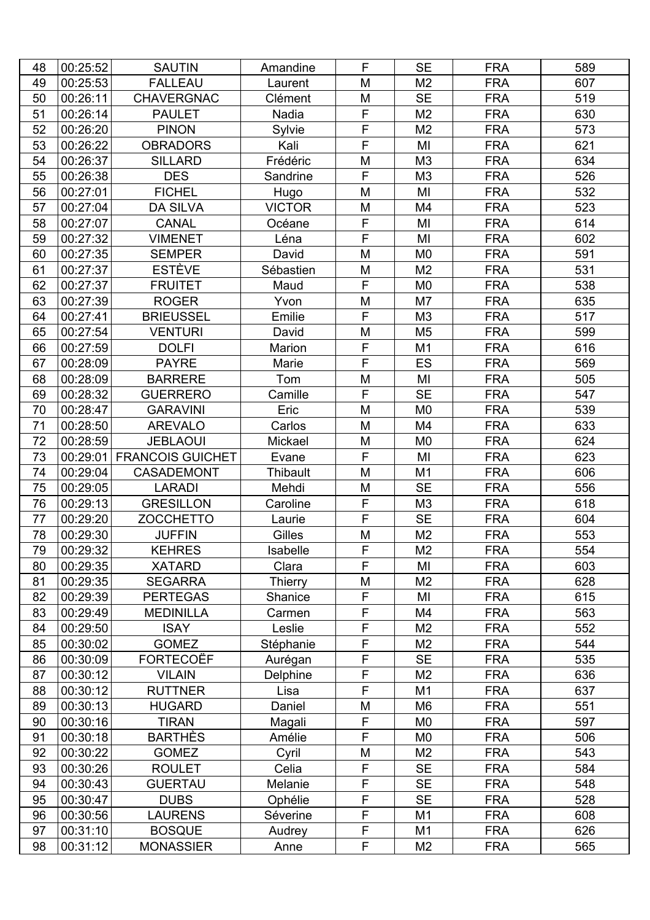| 48 | 00:25:52 | <b>SAUTIN</b>             | Amandine        | F                       | <b>SE</b>      | <b>FRA</b> | 589 |
|----|----------|---------------------------|-----------------|-------------------------|----------------|------------|-----|
| 49 | 00:25:53 | <b>FALLEAU</b>            | Laurent         | M                       | M <sub>2</sub> | <b>FRA</b> | 607 |
| 50 | 00:26:11 | <b>CHAVERGNAC</b>         | Clément         | M                       | <b>SE</b>      | <b>FRA</b> | 519 |
| 51 | 00:26:14 | <b>PAULET</b>             | Nadia           | F                       | M <sub>2</sub> | <b>FRA</b> | 630 |
| 52 | 00:26:20 | <b>PINON</b>              | Sylvie          | F                       | M <sub>2</sub> | <b>FRA</b> | 573 |
| 53 | 00:26:22 | <b>OBRADORS</b>           | Kali            | $\overline{F}$          | MI             | <b>FRA</b> | 621 |
| 54 | 00:26:37 | <b>SILLARD</b>            | Frédéric        | M                       | M <sub>3</sub> | <b>FRA</b> | 634 |
| 55 | 00:26:38 | <b>DES</b>                | Sandrine        | F                       | M <sub>3</sub> | <b>FRA</b> | 526 |
| 56 | 00:27:01 | <b>FICHEL</b>             | Hugo            | M                       | MI             | <b>FRA</b> | 532 |
| 57 | 00:27:04 | <b>DA SILVA</b>           | <b>VICTOR</b>   | M                       | M4             | <b>FRA</b> | 523 |
| 58 | 00:27:07 | <b>CANAL</b>              | Océane          | F                       | MI             | <b>FRA</b> | 614 |
| 59 | 00:27:32 | <b>VIMENET</b>            | Léna            | F                       | MI             | <b>FRA</b> | 602 |
| 60 | 00:27:35 | <b>SEMPER</b>             | David           | M                       | M <sub>0</sub> | <b>FRA</b> | 591 |
| 61 | 00:27:37 | <b>ESTÈVE</b>             | Sébastien       | M                       | M <sub>2</sub> | <b>FRA</b> | 531 |
| 62 | 00:27:37 | <b>FRUITET</b>            | Maud            | F                       | M <sub>0</sub> | <b>FRA</b> | 538 |
| 63 | 00:27:39 | <b>ROGER</b>              | Yvon            | M                       | M7             | <b>FRA</b> | 635 |
| 64 | 00:27:41 | <b>BRIEUSSEL</b>          | Emilie          | F                       | M <sub>3</sub> | <b>FRA</b> | 517 |
| 65 | 00:27:54 | <b>VENTURI</b>            | David           | M                       | M <sub>5</sub> | <b>FRA</b> | 599 |
| 66 | 00:27:59 | <b>DOLFI</b>              | Marion          | $\mathsf F$             | M <sub>1</sub> | <b>FRA</b> | 616 |
| 67 | 00:28:09 | <b>PAYRE</b>              | Marie           | F                       | ES             | <b>FRA</b> | 569 |
| 68 | 00:28:09 | <b>BARRERE</b>            | Tom             | M                       | MI             | <b>FRA</b> | 505 |
| 69 | 00:28:32 | <b>GUERRERO</b>           | Camille         | F                       | <b>SE</b>      | <b>FRA</b> | 547 |
| 70 | 00:28:47 | <b>GARAVINI</b>           | Eric            | M                       | M <sub>0</sub> | <b>FRA</b> | 539 |
| 71 | 00:28:50 | <b>AREVALO</b>            | Carlos          | M                       | M4             | <b>FRA</b> | 633 |
| 72 | 00:28:59 | <b>JEBLAOUI</b>           | Mickael         | M                       | M <sub>0</sub> | <b>FRA</b> | 624 |
| 73 |          | 00:29:01 FRANCOIS GUICHET | Evane           | F                       | MI             | <b>FRA</b> | 623 |
| 74 | 00:29:04 | <b>CASADEMONT</b>         | <b>Thibault</b> | M                       | M1             | <b>FRA</b> | 606 |
| 75 | 00:29:05 | <b>LARADI</b>             | Mehdi           | M                       | <b>SE</b>      | <b>FRA</b> | 556 |
| 76 | 00:29:13 | <b>GRESILLON</b>          | Caroline        | F                       | M3             | <b>FRA</b> | 618 |
| 77 | 00:29:20 | <b>ZOCCHETTO</b>          | Laurie          | $\overline{\mathsf{F}}$ | <b>SE</b>      | <b>FRA</b> | 604 |
| 78 | 00:29:30 | <b>JUFFIN</b>             | Gilles          | M                       | M <sub>2</sub> | <b>FRA</b> | 553 |
| 79 | 00:29:32 | <b>KEHRES</b>             | Isabelle        | F                       | M2             | <b>FRA</b> | 554 |
| 80 | 00:29:35 | <b>XATARD</b>             | Clara           | F                       | MI             | <b>FRA</b> | 603 |
| 81 | 00:29:35 | <b>SEGARRA</b>            | Thierry         | M                       | M <sub>2</sub> | <b>FRA</b> | 628 |
| 82 | 00:29:39 | <b>PERTEGAS</b>           | Shanice         | F                       | MI             | <b>FRA</b> | 615 |
| 83 | 00:29:49 | <b>MEDINILLA</b>          | Carmen          | F                       | M4             | <b>FRA</b> | 563 |
| 84 | 00:29:50 | <b>ISAY</b>               | Leslie          | F                       | M <sub>2</sub> | <b>FRA</b> | 552 |
| 85 | 00:30:02 | <b>GOMEZ</b>              | Stéphanie       | F                       | M <sub>2</sub> | <b>FRA</b> | 544 |
| 86 | 00:30:09 | <b>FORTECOËF</b>          | Aurégan         | $\overline{F}$          | <b>SE</b>      | <b>FRA</b> | 535 |
| 87 | 00:30:12 | <b>VILAIN</b>             | Delphine        | F                       | M <sub>2</sub> | <b>FRA</b> | 636 |
| 88 | 00:30:12 | <b>RUTTNER</b>            | Lisa            | F                       | M <sub>1</sub> | <b>FRA</b> | 637 |
| 89 | 00:30:13 | <b>HUGARD</b>             | Daniel          | M                       | M <sub>6</sub> | <b>FRA</b> | 551 |
| 90 | 00:30:16 | <b>TIRAN</b>              | Magali          | F                       | M <sub>0</sub> | <b>FRA</b> | 597 |
| 91 | 00:30:18 | <b>BARTHÈS</b>            | Amélie          | F                       | M <sub>0</sub> | <b>FRA</b> | 506 |
| 92 | 00:30:22 | <b>GOMEZ</b>              | Cyril           | M                       | M <sub>2</sub> | <b>FRA</b> | 543 |
| 93 | 00:30:26 | <b>ROULET</b>             | Celia           | F                       | <b>SE</b>      | <b>FRA</b> | 584 |
| 94 | 00:30:43 | <b>GUERTAU</b>            | Melanie         | F                       | <b>SE</b>      | <b>FRA</b> | 548 |
| 95 | 00:30:47 | <b>DUBS</b>               | Ophélie         | F                       | <b>SE</b>      | <b>FRA</b> | 528 |
| 96 | 00:30:56 | <b>LAURENS</b>            | Séverine        | F                       | M <sub>1</sub> | <b>FRA</b> | 608 |
| 97 | 00:31:10 | <b>BOSQUE</b>             | Audrey          | $\mathsf F$             | M <sub>1</sub> | <b>FRA</b> | 626 |
| 98 | 00:31:12 | <b>MONASSIER</b>          | Anne            | F                       | M <sub>2</sub> | <b>FRA</b> | 565 |